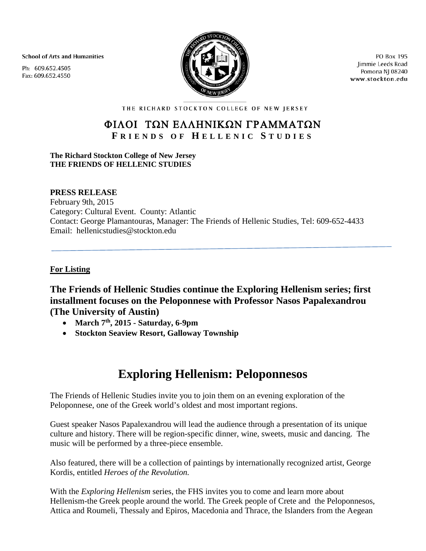**School of Arts and Humanities** 

Ph: 609.652.4505 Fax: 609.652.4550



PO Box 195 Jimmie Leeds Road Pomona NJ 08240 www.stockton.edu

THE RICHARD STOCKTON COLLEGE OF NEW JERSEY

## ΦΙΛΟΙ ΤΩΝ ΕΛΛΗΝΙΚΩΝ ΓΡΑΜΜΑΤΩΝ **F RIENDS OF H ELLENIC S TUDIES**

#### **The Richard Stockton College of New Jersey THE FRIENDS OF HELLENIC STUDIES**

### **PRESS RELEASE**

February 9th, 2015 Category: Cultural Event. County: Atlantic Contact: George Plamantouras, Manager: The Friends of Hellenic Studies, Tel: 609-652-4433 Email: hellenicstudies@stockton.edu

### **For Listing**

**The Friends of Hellenic Studies continue the Exploring Hellenism series; first installment focuses on the Peloponnese with Professor Nasos Papalexandrou (The University of Austin)**

- **March 7th, 2015 - Saturday, 6-9pm**
- **Stockton Seaview Resort, Galloway Township**

# **Exploring Hellenism: Peloponnesos**

The Friends of Hellenic Studies invite you to join them on an evening exploration of the Peloponnese, one of the Greek world's oldest and most important regions.

Guest speaker Nasos Papalexandrou will lead the audience through a presentation of its unique culture and history. There will be region-specific dinner, wine, sweets, music and dancing. The music will be performed by a three-piece ensemble.

Also featured, there will be a collection of paintings by internationally recognized artist, George Kordis, entitled *Heroes of the Revolution.*

With the *Exploring Hellenism* series, the FHS invites you to come and learn more about Hellenism-the Greek people around the world. The Greek people of Crete and the Peloponnesos, Attica and Roumeli, Thessaly and Epiros, Macedonia and Thrace, the Islanders from the Aegean